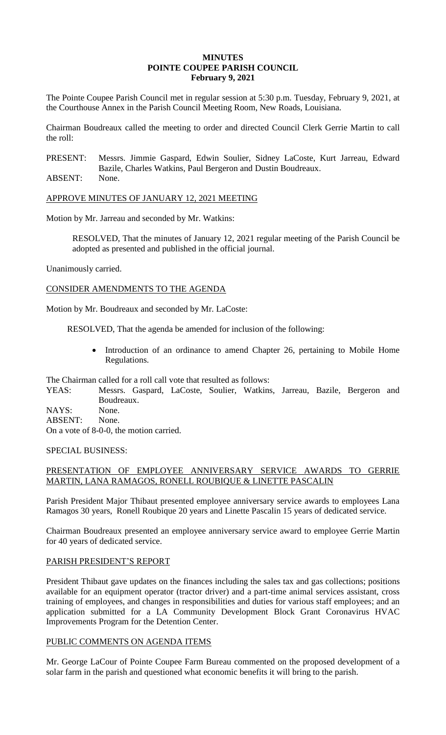# **MINUTES POINTE COUPEE PARISH COUNCIL February 9, 2021**

The Pointe Coupee Parish Council met in regular session at 5:30 p.m. Tuesday, February 9, 2021, at the Courthouse Annex in the Parish Council Meeting Room, New Roads, Louisiana.

Chairman Boudreaux called the meeting to order and directed Council Clerk Gerrie Martin to call the roll:

PRESENT: Messrs. Jimmie Gaspard, Edwin Soulier, Sidney LaCoste, Kurt Jarreau, Edward Bazile, Charles Watkins, Paul Bergeron and Dustin Boudreaux.

ABSENT: None.

APPROVE MINUTES OF JANUARY 12, 2021 MEETING

Motion by Mr. Jarreau and seconded by Mr. Watkins:

RESOLVED, That the minutes of January 12, 2021 regular meeting of the Parish Council be adopted as presented and published in the official journal.

Unanimously carried.

CONSIDER AMENDMENTS TO THE AGENDA

Motion by Mr. Boudreaux and seconded by Mr. LaCoste:

RESOLVED, That the agenda be amended for inclusion of the following:

 Introduction of an ordinance to amend Chapter 26, pertaining to Mobile Home Regulations.

The Chairman called for a roll call vote that resulted as follows:

YEAS: Messrs. Gaspard, LaCoste, Soulier, Watkins, Jarreau, Bazile, Bergeron and Boudreaux.

NAYS: None.

ABSENT: None.

On a vote of 8-0-0, the motion carried.

# SPECIAL BUSINESS:

# PRESENTATION OF EMPLOYEE ANNIVERSARY SERVICE AWARDS TO GERRIE MARTIN, LANA RAMAGOS, RONELL ROUBIQUE & LINETTE PASCALIN

Parish President Major Thibaut presented employee anniversary service awards to employees Lana Ramagos 30 years, Ronell Roubique 20 years and Linette Pascalin 15 years of dedicated service.

Chairman Boudreaux presented an employee anniversary service award to employee Gerrie Martin for 40 years of dedicated service.

# PARISH PRESIDENT'S REPORT

President Thibaut gave updates on the finances including the sales tax and gas collections; positions available for an equipment operator (tractor driver) and a part-time animal services assistant, cross training of employees, and changes in responsibilities and duties for various staff employees; and an application submitted for a LA Community Development Block Grant Coronavirus HVAC Improvements Program for the Detention Center.

# PUBLIC COMMENTS ON AGENDA ITEMS

Mr. George LaCour of Pointe Coupee Farm Bureau commented on the proposed development of a solar farm in the parish and questioned what economic benefits it will bring to the parish.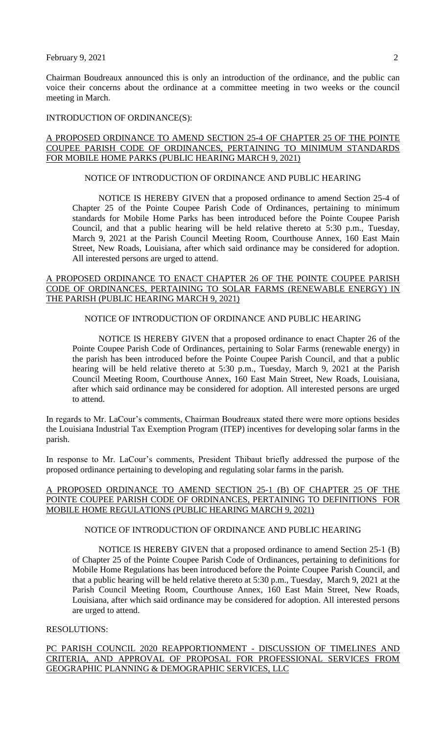February  $9, 2021$  2

Chairman Boudreaux announced this is only an introduction of the ordinance, and the public can voice their concerns about the ordinance at a committee meeting in two weeks or the council meeting in March.

#### INTRODUCTION OF ORDINANCE(S):

### A PROPOSED ORDINANCE TO AMEND SECTION 25-4 OF CHAPTER 25 OF THE POINTE COUPEE PARISH CODE OF ORDINANCES, PERTAINING TO MINIMUM STANDARDS FOR MOBILE HOME PARKS (PUBLIC HEARING MARCH 9, 2021)

# NOTICE OF INTRODUCTION OF ORDINANCE AND PUBLIC HEARING

NOTICE IS HEREBY GIVEN that a proposed ordinance to amend Section 25-4 of Chapter 25 of the Pointe Coupee Parish Code of Ordinances, pertaining to minimum standards for Mobile Home Parks has been introduced before the Pointe Coupee Parish Council, and that a public hearing will be held relative thereto at 5:30 p.m., Tuesday, March 9, 2021 at the Parish Council Meeting Room, Courthouse Annex, 160 East Main Street, New Roads, Louisiana, after which said ordinance may be considered for adoption. All interested persons are urged to attend.

#### A PROPOSED ORDINANCE TO ENACT CHAPTER 26 OF THE POINTE COUPEE PARISH CODE OF ORDINANCES, PERTAINING TO SOLAR FARMS (RENEWABLE ENERGY) IN THE PARISH (PUBLIC HEARING MARCH 9, 2021)

#### NOTICE OF INTRODUCTION OF ORDINANCE AND PUBLIC HEARING

NOTICE IS HEREBY GIVEN that a proposed ordinance to enact Chapter 26 of the Pointe Coupee Parish Code of Ordinances, pertaining to Solar Farms (renewable energy) in the parish has been introduced before the Pointe Coupee Parish Council, and that a public hearing will be held relative thereto at 5:30 p.m., Tuesday, March 9, 2021 at the Parish Council Meeting Room, Courthouse Annex, 160 East Main Street, New Roads, Louisiana, after which said ordinance may be considered for adoption. All interested persons are urged to attend.

In regards to Mr. LaCour's comments, Chairman Boudreaux stated there were more options besides the Louisiana Industrial Tax Exemption Program (ITEP) incentives for developing solar farms in the parish.

In response to Mr. LaCour's comments, President Thibaut briefly addressed the purpose of the proposed ordinance pertaining to developing and regulating solar farms in the parish.

#### A PROPOSED ORDINANCE TO AMEND SECTION 25-1 (B) OF CHAPTER 25 OF THE POINTE COUPEE PARISH CODE OF ORDINANCES, PERTAINING TO DEFINITIONS FOR MOBILE HOME REGULATIONS (PUBLIC HEARING MARCH 9, 2021)

# NOTICE OF INTRODUCTION OF ORDINANCE AND PUBLIC HEARING

NOTICE IS HEREBY GIVEN that a proposed ordinance to amend Section 25-1 (B) of Chapter 25 of the Pointe Coupee Parish Code of Ordinances, pertaining to definitions for Mobile Home Regulations has been introduced before the Pointe Coupee Parish Council, and that a public hearing will be held relative thereto at 5:30 p.m., Tuesday, March 9, 2021 at the Parish Council Meeting Room, Courthouse Annex, 160 East Main Street, New Roads, Louisiana, after which said ordinance may be considered for adoption. All interested persons are urged to attend.

#### RESOLUTIONS:

PC PARISH COUNCIL 2020 REAPPORTIONMENT - DISCUSSION OF TIMELINES AND CRITERIA, AND APPROVAL OF PROPOSAL FOR PROFESSIONAL SERVICES FROM GEOGRAPHIC PLANNING & DEMOGRAPHIC SERVICES, LLC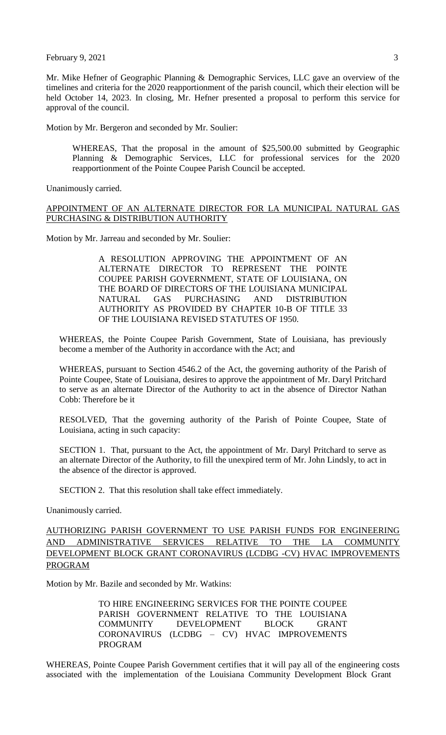February  $9, 2021$  3

Mr. Mike Hefner of Geographic Planning & Demographic Services, LLC gave an overview of the timelines and criteria for the 2020 reapportionment of the parish council, which their election will be held October 14, 2023. In closing, Mr. Hefner presented a proposal to perform this service for approval of the council.

Motion by Mr. Bergeron and seconded by Mr. Soulier:

WHEREAS, That the proposal in the amount of \$25,500.00 submitted by Geographic Planning & Demographic Services, LLC for professional services for the 2020 reapportionment of the Pointe Coupee Parish Council be accepted.

Unanimously carried.

# APPOINTMENT OF AN ALTERNATE DIRECTOR FOR LA MUNICIPAL NATURAL GAS PURCHASING & DISTRIBUTION AUTHORITY

Motion by Mr. Jarreau and seconded by Mr. Soulier:

A RESOLUTION APPROVING THE APPOINTMENT OF AN ALTERNATE DIRECTOR TO REPRESENT THE POINTE COUPEE PARISH GOVERNMENT, STATE OF LOUISIANA, ON THE BOARD OF DIRECTORS OF THE LOUISIANA MUNICIPAL NATURAL GAS PURCHASING AND DISTRIBUTION AUTHORITY AS PROVIDED BY CHAPTER 10-B OF TITLE 33 OF THE LOUISIANA REVISED STATUTES OF 1950.

WHEREAS, the Pointe Coupee Parish Government, State of Louisiana, has previously become a member of the Authority in accordance with the Act; and

WHEREAS, pursuant to Section 4546.2 of the Act, the governing authority of the Parish of Pointe Coupee, State of Louisiana, desires to approve the appointment of Mr. Daryl Pritchard to serve as an alternate Director of the Authority to act in the absence of Director Nathan Cobb: Therefore be it

RESOLVED, That the governing authority of the Parish of Pointe Coupee, State of Louisiana, acting in such capacity:

SECTION 1. That, pursuant to the Act, the appointment of Mr. Daryl Pritchard to serve as an alternate Director of the Authority, to fill the unexpired term of Mr. John Lindsly, to act in the absence of the director is approved.

SECTION 2. That this resolution shall take effect immediately.

Unanimously carried.

AUTHORIZING PARISH GOVERNMENT TO USE PARISH FUNDS FOR ENGINEERING AND ADMINISTRATIVE SERVICES RELATIVE TO THE LA COMMUNITY DEVELOPMENT BLOCK GRANT CORONAVIRUS (LCDBG -CV) HVAC IMPROVEMENTS PROGRAM

Motion by Mr. Bazile and seconded by Mr. Watkins:

TO HIRE ENGINEERING SERVICES FOR THE POINTE COUPEE PARISH GOVERNMENT RELATIVE TO THE LOUISIANA COMMUNITY DEVELOPMENT BLOCK GRANT CORONAVIRUS (LCDBG – CV) HVAC IMPROVEMENTS PROGRAM

WHEREAS, Pointe Coupee Parish Government certifies that it will pay all of the engineering costs associated with the implementation of the Louisiana Community Development Block Grant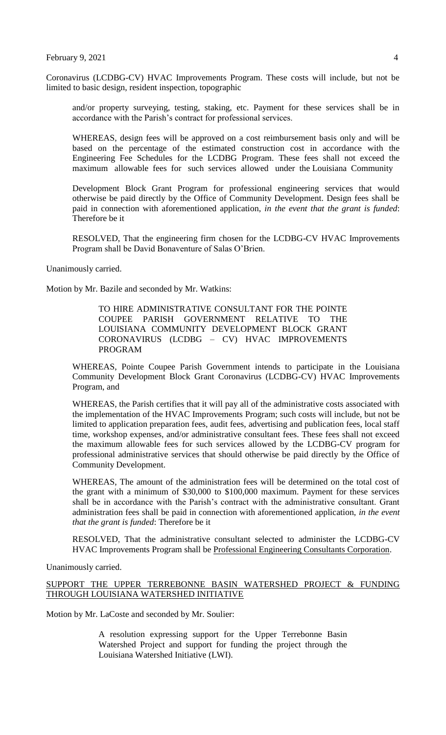Coronavirus (LCDBG-CV) HVAC Improvements Program. These costs will include, but not be limited to basic design, resident inspection, topographic

and/or property surveying, testing, staking, etc. Payment for these services shall be in accordance with the Parish's contract for professional services.

WHEREAS, design fees will be approved on a cost reimbursement basis only and will be based on the percentage of the estimated construction cost in accordance with the Engineering Fee Schedules for the LCDBG Program. These fees shall not exceed the maximum allowable fees for such services allowed under the Louisiana Community

Development Block Grant Program for professional engineering services that would otherwise be paid directly by the Office of Community Development. Design fees shall be paid in connection with aforementioned application, *in the event that the grant is funded*: Therefore be it

RESOLVED, That the engineering firm chosen for the LCDBG-CV HVAC Improvements Program shall be David Bonaventure of Salas O'Brien.

Unanimously carried.

Motion by Mr. Bazile and seconded by Mr. Watkins:

TO HIRE ADMINISTRATIVE CONSULTANT FOR THE POINTE COUPEE PARISH GOVERNMENT RELATIVE TO THE LOUISIANA COMMUNITY DEVELOPMENT BLOCK GRANT CORONAVIRUS (LCDBG – CV) HVAC IMPROVEMENTS PROGRAM

WHEREAS, Pointe Coupee Parish Government intends to participate in the Louisiana Community Development Block Grant Coronavirus (LCDBG-CV) HVAC Improvements Program, and

WHEREAS, the Parish certifies that it will pay all of the administrative costs associated with the implementation of the HVAC Improvements Program; such costs will include, but not be limited to application preparation fees, audit fees, advertising and publication fees, local staff time, workshop expenses, and/or administrative consultant fees. These fees shall not exceed the maximum allowable fees for such services allowed by the LCDBG-CV program for professional administrative services that should otherwise be paid directly by the Office of Community Development.

WHEREAS, The amount of the administration fees will be determined on the total cost of the grant with a minimum of \$30,000 to \$100,000 maximum. Payment for these services shall be in accordance with the Parish's contract with the administrative consultant. Grant administration fees shall be paid in connection with aforementioned application, *in the event that the grant is funded*: Therefore be it

RESOLVED, That the administrative consultant selected to administer the LCDBG-CV HVAC Improvements Program shall be Professional Engineering Consultants Corporation.

Unanimously carried.

SUPPORT THE UPPER TERREBONNE BASIN WATERSHED PROJECT & FUNDING THROUGH LOUISIANA WATERSHED INITIATIVE

Motion by Mr. LaCoste and seconded by Mr. Soulier:

A resolution expressing support for the Upper Terrebonne Basin Watershed Project and support for funding the project through the Louisiana Watershed Initiative (LWI).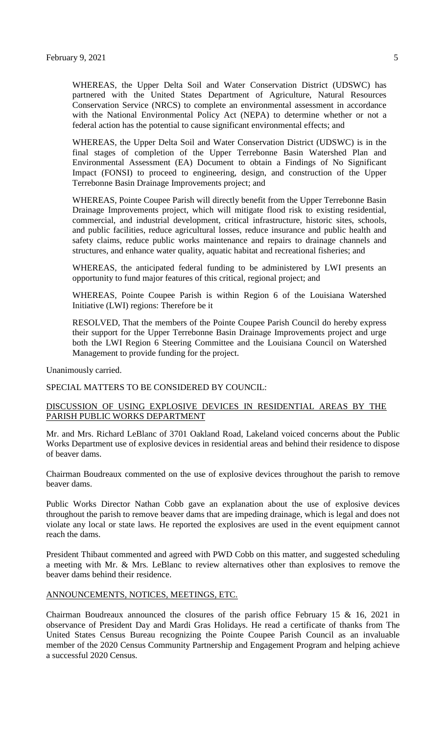WHEREAS, the Upper Delta Soil and Water Conservation District (UDSWC) has partnered with the United States Department of Agriculture, Natural Resources Conservation Service (NRCS) to complete an environmental assessment in accordance with the National Environmental Policy Act (NEPA) to determine whether or not a federal action has the potential to cause significant environmental effects; and

WHEREAS, the Upper Delta Soil and Water Conservation District (UDSWC) is in the final stages of completion of the Upper Terrebonne Basin Watershed Plan and Environmental Assessment (EA) Document to obtain a Findings of No Significant Impact (FONSI) to proceed to engineering, design, and construction of the Upper Terrebonne Basin Drainage Improvements project; and

WHEREAS, Pointe Coupee Parish will directly benefit from the Upper Terrebonne Basin Drainage Improvements project, which will mitigate flood risk to existing residential, commercial, and industrial development, critical infrastructure, historic sites, schools, and public facilities, reduce agricultural losses, reduce insurance and public health and safety claims, reduce public works maintenance and repairs to drainage channels and structures, and enhance water quality, aquatic habitat and recreational fisheries; and

WHEREAS, the anticipated federal funding to be administered by LWI presents an opportunity to fund major features of this critical, regional project; and

WHEREAS, Pointe Coupee Parish is within Region 6 of the Louisiana Watershed Initiative (LWI) regions: Therefore be it

RESOLVED, That the members of the Pointe Coupee Parish Council do hereby express their support for the Upper Terrebonne Basin Drainage Improvements project and urge both the LWI Region 6 Steering Committee and the Louisiana Council on Watershed Management to provide funding for the project.

Unanimously carried.

SPECIAL MATTERS TO BE CONSIDERED BY COUNCIL:

# DISCUSSION OF USING EXPLOSIVE DEVICES IN RESIDENTIAL AREAS BY THE PARISH PUBLIC WORKS DEPARTMENT

Mr. and Mrs. Richard LeBlanc of 3701 Oakland Road, Lakeland voiced concerns about the Public Works Department use of explosive devices in residential areas and behind their residence to dispose of beaver dams.

Chairman Boudreaux commented on the use of explosive devices throughout the parish to remove beaver dams.

Public Works Director Nathan Cobb gave an explanation about the use of explosive devices throughout the parish to remove beaver dams that are impeding drainage, which is legal and does not violate any local or state laws. He reported the explosives are used in the event equipment cannot reach the dams.

President Thibaut commented and agreed with PWD Cobb on this matter, and suggested scheduling a meeting with Mr. & Mrs. LeBlanc to review alternatives other than explosives to remove the beaver dams behind their residence.

#### ANNOUNCEMENTS, NOTICES, MEETINGS, ETC.

Chairman Boudreaux announced the closures of the parish office February 15 & 16, 2021 in observance of President Day and Mardi Gras Holidays. He read a certificate of thanks from The United States Census Bureau recognizing the Pointe Coupee Parish Council as an invaluable member of the 2020 Census Community Partnership and Engagement Program and helping achieve a successful 2020 Census.